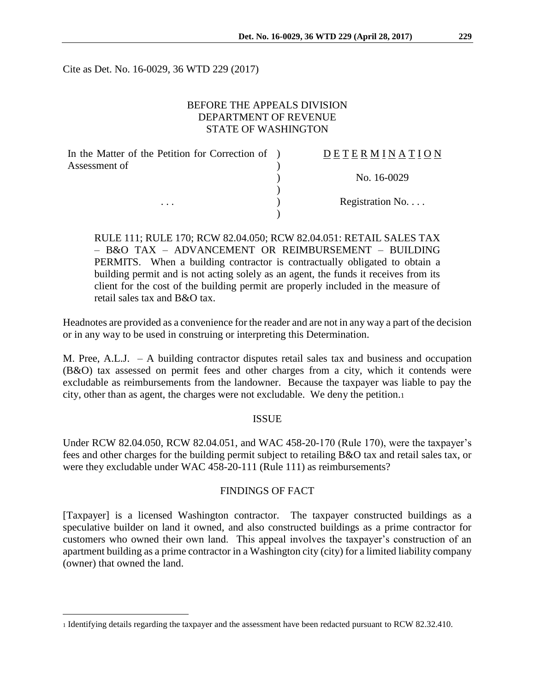Cite as Det. No. 16-0029, 36 WTD 229 (2017)

# BEFORE THE APPEALS DIVISION DEPARTMENT OF REVENUE STATE OF WASHINGTON

| In the Matter of the Petition for Correction of ) | DETERMINATION   |
|---------------------------------------------------|-----------------|
| Assessment of                                     |                 |
|                                                   | No. 16-0029     |
|                                                   |                 |
| $\cdots$                                          | Registration No |
|                                                   |                 |

RULE 111; RULE 170; RCW 82.04.050; RCW 82.04.051: RETAIL SALES TAX – B&O TAX – ADVANCEMENT OR REIMBURSEMENT – BUILDING PERMITS. When a building contractor is contractually obligated to obtain a building permit and is not acting solely as an agent, the funds it receives from its client for the cost of the building permit are properly included in the measure of retail sales tax and B&O tax.

Headnotes are provided as a convenience for the reader and are not in any way a part of the decision or in any way to be used in construing or interpreting this Determination.

M. Pree, A.L.J. – A building contractor disputes retail sales tax and business and occupation (B&O) tax assessed on permit fees and other charges from a city, which it contends were excludable as reimbursements from the landowner. Because the taxpayer was liable to pay the city, other than as agent, the charges were not excludable. We deny the petition.<sup>1</sup>

#### ISSUE

Under RCW 82.04.050, RCW 82.04.051, and WAC 458-20-170 (Rule 170), were the taxpayer's fees and other charges for the building permit subject to retailing B&O tax and retail sales tax, or were they excludable under WAC 458-20-111 (Rule 111) as reimbursements?

### FINDINGS OF FACT

[Taxpayer] is a licensed Washington contractor. The taxpayer constructed buildings as a speculative builder on land it owned, and also constructed buildings as a prime contractor for customers who owned their own land. This appeal involves the taxpayer's construction of an apartment building as a prime contractor in a Washington city (city) for a limited liability company (owner) that owned the land.

 $\overline{a}$ 

<sup>1</sup> Identifying details regarding the taxpayer and the assessment have been redacted pursuant to RCW 82.32.410.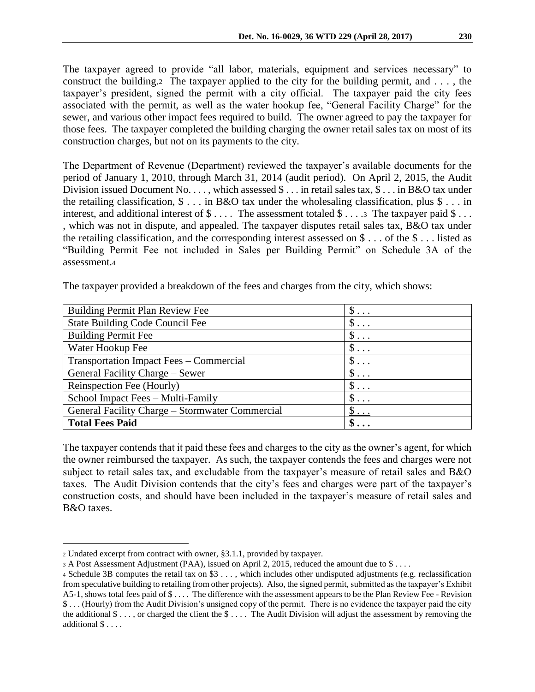The taxpayer agreed to provide "all labor, materials, equipment and services necessary" to construct the building. The taxpayer applied to the city for the building permit, and  $\dots$ , the taxpayer's president, signed the permit with a city official. The taxpayer paid the city fees associated with the permit, as well as the water hookup fee, "General Facility Charge" for the sewer, and various other impact fees required to build. The owner agreed to pay the taxpayer for those fees. The taxpayer completed the building charging the owner retail sales tax on most of its construction charges, but not on its payments to the city.

The Department of Revenue (Department) reviewed the taxpayer's available documents for the period of January 1, 2010, through March 31, 2014 (audit period). On April 2, 2015, the Audit Division issued Document No.  $\dots$ , which assessed  $\$\dots$  in retail sales tax,  $\$\dots$  in B&O tax under the retailing classification,  $\oint$ ... in B&O tax under the wholesaling classification, plus  $\oint$ ... in interest, and additional interest of  $\$\ldots$ . The assessment totaled  $\$\ldots$  3 The taxpayer paid  $\$\ldots$ , which was not in dispute, and appealed. The taxpayer disputes retail sales tax, B&O tax under the retailing classification, and the corresponding interest assessed on \$ . . . of the \$ . . . listed as "Building Permit Fee not included in Sales per Building Permit" on Schedule 3A of the assessment.<sup>4</sup>

| <b>Building Permit Plan Review Fee</b>          | $\$\ldots$ |
|-------------------------------------------------|------------|
| <b>State Building Code Council Fee</b>          | $\$\ldots$ |
| <b>Building Permit Fee</b>                      | $\$\ldots$ |
| Water Hookup Fee                                | $\$\ldots$ |
| Transportation Impact Fees - Commercial         | $\S$       |
| General Facility Charge – Sewer                 | $\$\ldots$ |
| Reinspection Fee (Hourly)                       | $\$\ldots$ |
| School Impact Fees - Multi-Family               | $\$\ldots$ |
| General Facility Charge - Stormwater Commercial | $\$\ldots$ |
| <b>Total Fees Paid</b>                          | $\$\ldots$ |

The taxpayer contends that it paid these fees and charges to the city as the owner's agent, for which the owner reimbursed the taxpayer. As such, the taxpayer contends the fees and charges were not subject to retail sales tax, and excludable from the taxpayer's measure of retail sales and B&O taxes. The Audit Division contends that the city's fees and charges were part of the taxpayer's construction costs, and should have been included in the taxpayer's measure of retail sales and B&O taxes.

 $\overline{a}$ 

<sup>2</sup> Undated excerpt from contract with owner, §3.1.1, provided by taxpayer.

<sup>3</sup> A Post Assessment Adjustment (PAA), issued on April 2, 2015, reduced the amount due to \$ . . . .

<sup>4</sup> Schedule 3B computes the retail tax on \$3 . . . , which includes other undisputed adjustments (e.g. reclassification from speculative building to retailing from other projects). Also, the signed permit, submitted as the taxpayer's Exhibit A5-1, shows total fees paid of \$ . . . . The difference with the assessment appears to be the Plan Review Fee - Revision \$ . . . (Hourly) from the Audit Division's unsigned copy of the permit. There is no evidence the taxpayer paid the city the additional  $\$\ldots$ , or charged the client the  $\$\ldots$ . The Audit Division will adjust the assessment by removing the additional \$ . . . .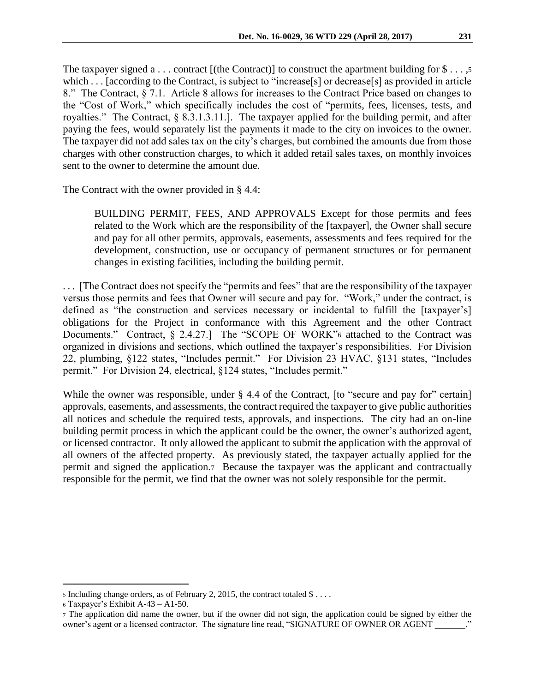The taxpayer signed a . . . contract [(the Contract)] to construct the apartment building for  $\$\dots,5$ which . . . [according to the Contract, is subject to "increase[s] or decrease[s] as provided in article 8." The Contract, § 7.1. Article 8 allows for increases to the Contract Price based on changes to the "Cost of Work," which specifically includes the cost of "permits, fees, licenses, tests, and royalties." The Contract, § 8.3.1.3.11.]. The taxpayer applied for the building permit, and after paying the fees, would separately list the payments it made to the city on invoices to the owner. The taxpayer did not add sales tax on the city's charges, but combined the amounts due from those charges with other construction charges, to which it added retail sales taxes, on monthly invoices sent to the owner to determine the amount due.

The Contract with the owner provided in § 4.4:

BUILDING PERMIT, FEES, AND APPROVALS Except for those permits and fees related to the Work which are the responsibility of the [taxpayer], the Owner shall secure and pay for all other permits, approvals, easements, assessments and fees required for the development, construction, use or occupancy of permanent structures or for permanent changes in existing facilities, including the building permit.

. . . [The Contract does not specify the "permits and fees" that are the responsibility of the taxpayer versus those permits and fees that Owner will secure and pay for. "Work," under the contract, is defined as "the construction and services necessary or incidental to fulfill the [taxpayer's] obligations for the Project in conformance with this Agreement and the other Contract Documents." Contract, § 2.4.27.] The "SCOPE OF WORK"<sup>6</sup> attached to the Contract was organized in divisions and sections, which outlined the taxpayer's responsibilities. For Division 22, plumbing, §122 states, "Includes permit." For Division 23 HVAC, §131 states, "Includes permit." For Division 24, electrical, §124 states, "Includes permit."

While the owner was responsible, under § 4.4 of the Contract, [to "secure and pay for" certain] approvals, easements, and assessments, the contract required the taxpayer to give public authorities all notices and schedule the required tests, approvals, and inspections. The city had an on-line building permit process in which the applicant could be the owner, the owner's authorized agent, or licensed contractor. It only allowed the applicant to submit the application with the approval of all owners of the affected property. As previously stated, the taxpayer actually applied for the permit and signed the application.7 Because the taxpayer was the applicant and contractually responsible for the permit, we find that the owner was not solely responsible for the permit.

 $\overline{a}$ 

<sup>5</sup> Including change orders, as of February 2, 2015, the contract totaled \$ . . . .

<sup>6</sup> Taxpayer's Exhibit A-43 – A1-50.

<sup>7</sup> The application did name the owner, but if the owner did not sign, the application could be signed by either the owner's agent or a licensed contractor. The signature line read, "SIGNATURE OF OWNER OR AGENT \_\_\_\_\_\_\_."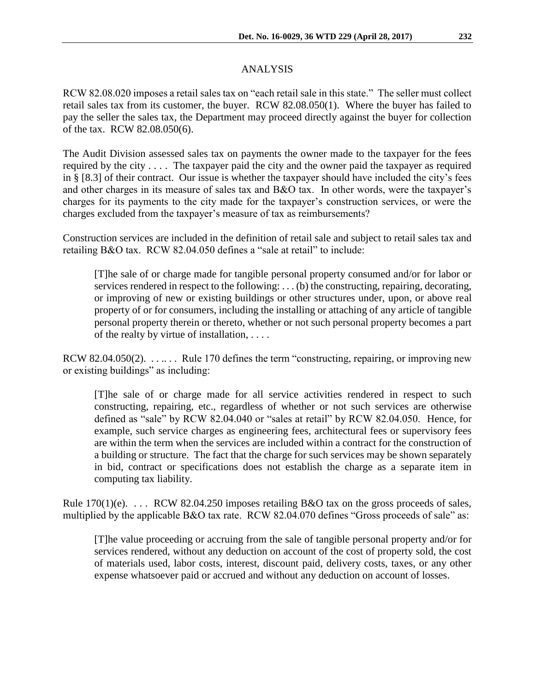# ANALYSIS

RCW 82.08.020 imposes a retail sales tax on "each retail sale in this state." The seller must collect retail sales tax from its customer, the buyer. RCW 82.08.050(1). Where the buyer has failed to pay the seller the sales tax, the Department may proceed directly against the buyer for collection of the tax. RCW 82.08.050(6).

The Audit Division assessed sales tax on payments the owner made to the taxpayer for the fees required by the city . . . . The taxpayer paid the city and the owner paid the taxpayer as required in § [8.3] of their contract. Our issue is whether the taxpayer should have included the city's fees and other charges in its measure of sales tax and B&O tax. In other words, were the taxpayer's charges for its payments to the city made for the taxpayer's construction services, or were the charges excluded from the taxpayer's measure of tax as reimbursements?

Construction services are included in the definition of retail sale and subject to retail sales tax and retailing B&O tax. RCW 82.04.050 defines a "sale at retail" to include:

[T]he sale of or charge made for tangible personal property consumed and/or for labor or services rendered in respect to the following: . . . (b) the constructing, repairing, decorating, or improving of new or existing buildings or other structures under, upon, or above real property of or for consumers, including the installing or attaching of any article of tangible personal property therein or thereto, whether or not such personal property becomes a part of the realty by virtue of installation, . . . .

RCW 82.04.050(2). . . . . . . Rule 170 defines the term "constructing, repairing, or improving new or existing buildings" as including:

[T]he sale of or charge made for all service activities rendered in respect to such constructing, repairing, etc., regardless of whether or not such services are otherwise defined as "sale" by RCW 82.04.040 or "sales at retail" by RCW 82.04.050. Hence, for example, such service charges as engineering fees, architectural fees or supervisory fees are within the term when the services are included within a contract for the construction of a building or structure. The fact that the charge for such services may be shown separately in bid, contract or specifications does not establish the charge as a separate item in computing tax liability.

Rule  $170(1)(e)$ . . . . RCW 82.04.250 imposes retailing B&O tax on the gross proceeds of sales, multiplied by the applicable B&O tax rate. RCW 82.04.070 defines "Gross proceeds of sale" as:

[T]he value proceeding or accruing from the sale of tangible personal property and/or for services rendered, without any deduction on account of the cost of property sold, the cost of materials used, labor costs, interest, discount paid, delivery costs, taxes, or any other expense whatsoever paid or accrued and without any deduction on account of losses.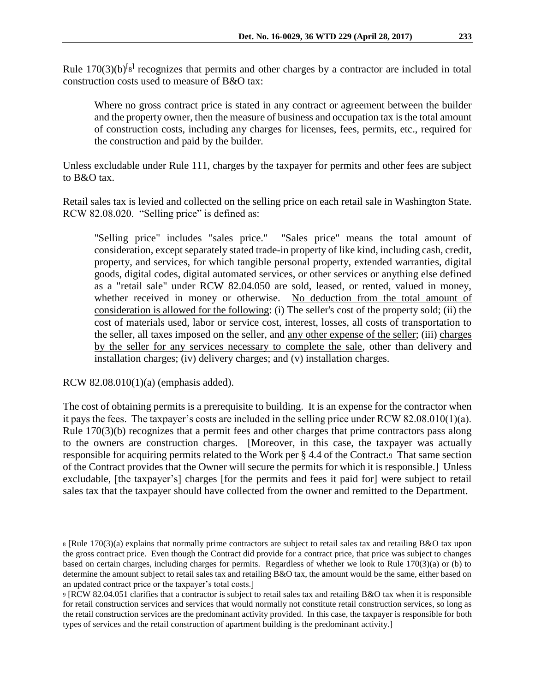Rule  $170(3)(b)^{[g]}$  recognizes that permits and other charges by a contractor are included in total construction costs used to measure of B&O tax:

Where no gross contract price is stated in any contract or agreement between the builder and the property owner, then the measure of business and occupation tax is the total amount of construction costs, including any charges for licenses, fees, permits, etc., required for the construction and paid by the builder.

Unless excludable under Rule 111, charges by the taxpayer for permits and other fees are subject to B&O tax.

Retail sales tax is levied and collected on the selling price on each retail sale in Washington State. RCW 82.08.020. "Selling price" is defined as:

"Selling price" includes "sales price." "Sales price" means the total amount of consideration, except separately stated trade-in property of like kind, including cash, credit, property, and services, for which tangible personal property, extended warranties, digital goods, digital codes, digital automated services, or other services or anything else defined as a "retail sale" under RCW 82.04.050 are sold, leased, or rented, valued in money, whether received in money or otherwise. No deduction from the total amount of consideration is allowed for the following: (i) The seller's cost of the property sold; (ii) the cost of materials used, labor or service cost, interest, losses, all costs of transportation to the seller, all taxes imposed on the seller, and any other expense of the seller; (iii) charges by the seller for any services necessary to complete the sale, other than delivery and installation charges; (iv) delivery charges; and (v) installation charges.

RCW 82.08.010(1)(a) (emphasis added).

 $\overline{a}$ 

The cost of obtaining permits is a prerequisite to building. It is an expense for the contractor when it pays the fees. The taxpayer's costs are included in the selling price under RCW 82.08.010(1)(a). Rule 170(3)(b) recognizes that a permit fees and other charges that prime contractors pass along to the owners are construction charges. [Moreover, in this case, the taxpayer was actually responsible for acquiring permits related to the Work per § 4.4 of the Contract.9 That same section of the Contract provides that the Owner will secure the permits for which it is responsible.] Unless excludable, [the taxpayer's] charges [for the permits and fees it paid for] were subject to retail sales tax that the taxpayer should have collected from the owner and remitted to the Department.

<sup>8</sup> [Rule 170(3)(a) explains that normally prime contractors are subject to retail sales tax and retailing B&O tax upon the gross contract price. Even though the Contract did provide for a contract price, that price was subject to changes based on certain charges, including charges for permits. Regardless of whether we look to Rule 170(3)(a) or (b) to determine the amount subject to retail sales tax and retailing B&O tax, the amount would be the same, either based on an updated contract price or the taxpayer's total costs.]

<sup>9</sup> [RCW 82.04.051 clarifies that a contractor is subject to retail sales tax and retailing B&O tax when it is responsible for retail construction services and services that would normally not constitute retail construction services, so long as the retail construction services are the predominant activity provided. In this case, the taxpayer is responsible for both types of services and the retail construction of apartment building is the predominant activity.]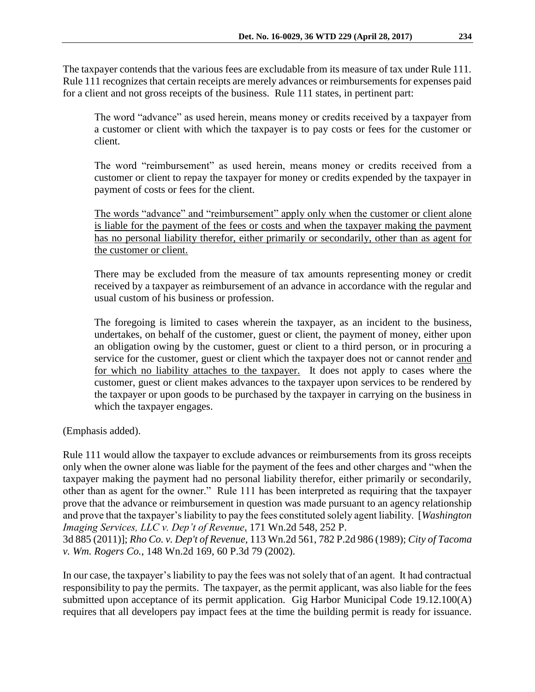The taxpayer contends that the various fees are excludable from its measure of tax under Rule 111. Rule 111 recognizes that certain receipts are merely advances or reimbursements for expenses paid for a client and not gross receipts of the business. Rule 111 states, in pertinent part:

The word "advance" as used herein, means money or credits received by a taxpayer from a customer or client with which the taxpayer is to pay costs or fees for the customer or client.

The word "reimbursement" as used herein, means money or credits received from a customer or client to repay the taxpayer for money or credits expended by the taxpayer in payment of costs or fees for the client.

The words "advance" and "reimbursement" apply only when the customer or client alone is liable for the payment of the fees or costs and when the taxpayer making the payment has no personal liability therefor, either primarily or secondarily, other than as agent for the customer or client.

There may be excluded from the measure of tax amounts representing money or credit received by a taxpayer as reimbursement of an advance in accordance with the regular and usual custom of his business or profession.

The foregoing is limited to cases wherein the taxpayer, as an incident to the business, undertakes, on behalf of the customer, guest or client, the payment of money, either upon an obligation owing by the customer, guest or client to a third person, or in procuring a service for the customer, guest or client which the taxpayer does not or cannot render and for which no liability attaches to the taxpayer. It does not apply to cases where the customer, guest or client makes advances to the taxpayer upon services to be rendered by the taxpayer or upon goods to be purchased by the taxpayer in carrying on the business in which the taxpayer engages.

(Emphasis added).

Rule 111 would allow the taxpayer to exclude advances or reimbursements from its gross receipts only when the owner alone was liable for the payment of the fees and other charges and "when the taxpayer making the payment had no personal liability therefor, either primarily or secondarily, other than as agent for the owner." Rule 111 has been interpreted as requiring that the taxpayer prove that the advance or reimbursement in question was made pursuant to an agency relationship and prove that the taxpayer's liability to pay the fees constituted solely agent liability. [*Washington Imaging Services, LLC v. Dep't of Revenue*, 171 Wn.2d 548, 252 P.

3d 885 (2011)]; *Rho Co. v. Dep't of Revenue,* 113 Wn.2d 561, 782 P.2d 986 (1989); *City of Tacoma v. Wm. Rogers Co.*, 148 Wn.2d 169, 60 P.3d 79 (2002).

In our case, the taxpayer's liability to pay the fees was not solely that of an agent. It had contractual responsibility to pay the permits. The taxpayer, as the permit applicant, was also liable for the fees submitted upon acceptance of its permit application. Gig Harbor Municipal Code 19.12.100(A) requires that all developers pay impact fees at the time the building permit is ready for issuance.